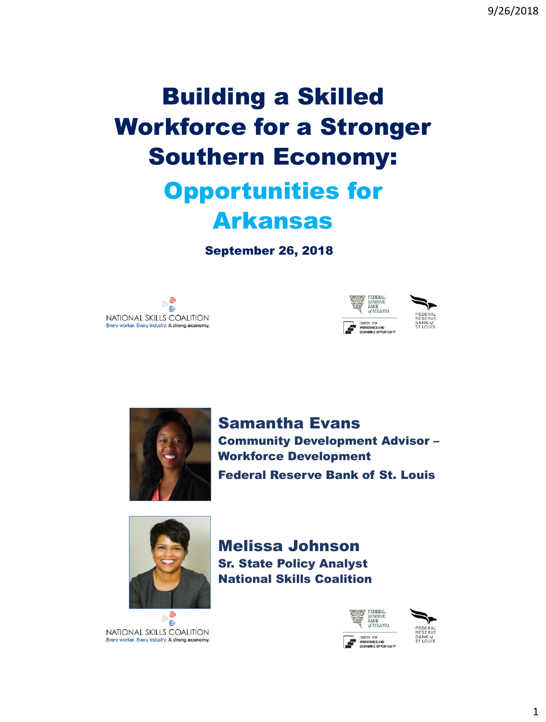# Building a Skilled Workforce for a Stronger Southern Economy:

## Opportunities for Arkansas

September 26, 2018







Samantha Evans Community Development Advisor – Workforce Development Federal Reserve Bank of St. Louis



بي NATIONAL SKILLS COALITION Every worker. Every industry. A strong economy. Melissa Johnson Sr. State Policy Analyst National Skills Coalition

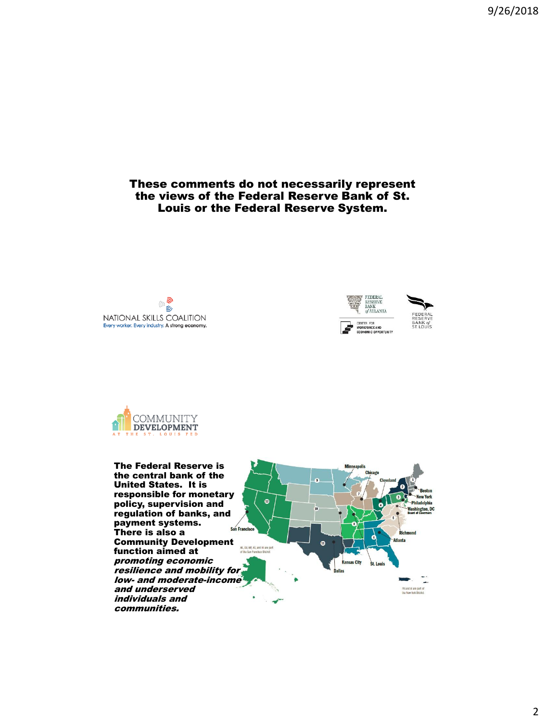9/26/2018

These comments do not necessarily represent the views of the Federal Reserve Bank of St. Louis or the Federal Reserve System.

روب  $($ ( NATIONAL SKILLS COALITION Every worker. Every industry. A strong economy.





The Federal Reserve is the central bank of the United States. It is responsible for monetary  $\bullet$ policy, supervision and eton, DC regulation of banks, and payment systems. San Franc There is also a Ric Community Development **Manta**  $\mathbf{a}$ As, and HI are part function aimed at promoting economic **Kansas City** St. Lor resilience and mobility for low- and moderate-income and underserved PR and W are part of individuals and communities.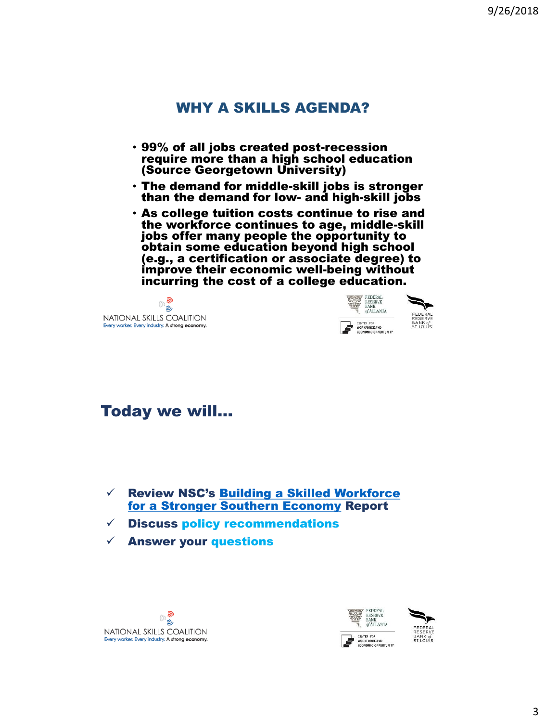#### WHY A SKILLS AGENDA?

- 99% of all jobs created post-recession require more than a high school education (Source Georgetown University)
- The demand for middle-skill jobs is stronger than the demand for low- and high-skill jobs
- As college tuition costs continue to rise and the workforce continues to age, middle-skill jobs offer many people the opportunity to obtain some education beyond high school (e.g., a certification or associate degree) to improve their economic well-being without incurring the cost of a college education.

ه<br>پڻ NATIONAL SKILLS COALITION Every worker. Every industry. A strong economy.



#### Today we will…

- $\checkmark$  Review NSC's Building a Skilled Workforce [for a Stronger Southern Economy](https://www.nationalskillscoalition.org/resources/publications/file/Building-a-Skilled-Workforce-for-a-Stronger-Southern-Economy.pdf) Report
- $\checkmark$  Discuss policy recommendations
- $\checkmark$  Answer your questions



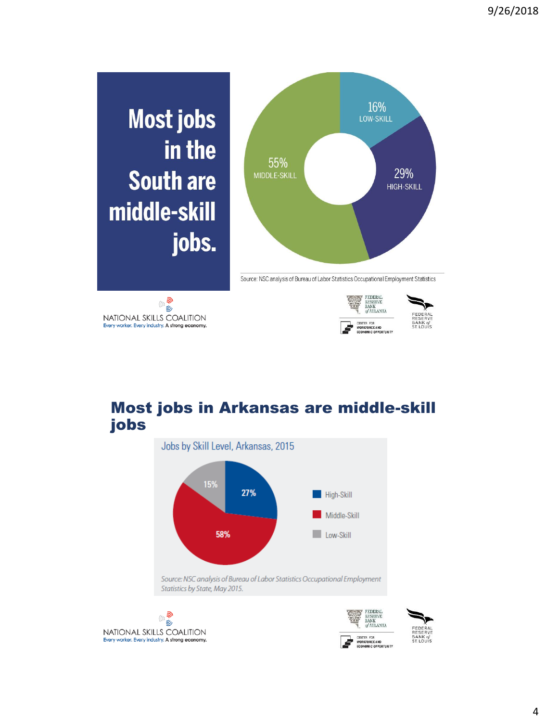

### Most jobs in Arkansas are middle-skill jobs



 $\overset{\text{\tiny (6)}}{\cong}$ NATIONAL SKILLS COALITION Every worker. Every industry. A strong economy



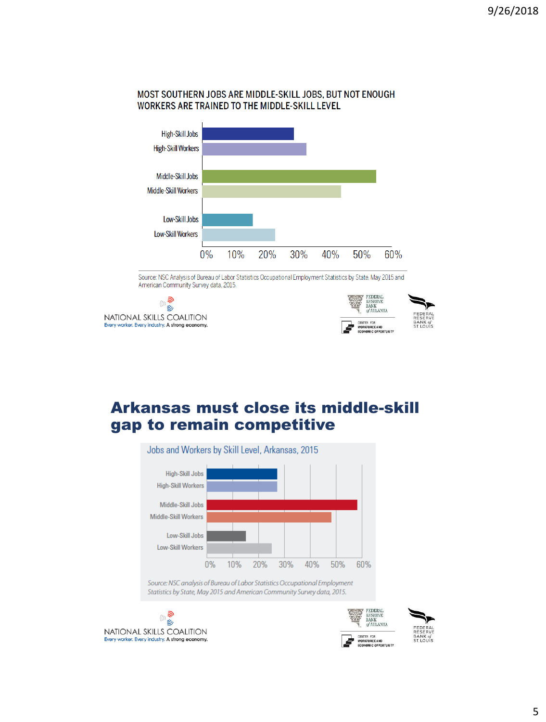

#### MOST SOUTHERN JOBS ARE MIDDLE-SKILL JOBS, BUT NOT ENOUGH WORKERS ARE TRAINED TO THE MIDDLE-SKILL LEVEL

Source: NSC Analysis of Bureau of Labor Statistics Occupational Employment Statistics by State, May 2015 and American Community Survey data, 2015.





#### Arkansas must close its middle-skill gap to remain competitive



Source: NSC analysis of Bureau of Labor Statistics Occupational Employment Statistics by State, May 2015 and American Community Survey data, 2015.

 $\widehat{\mathbb{E}}_p$ NATIONAL SKILLS COALITION Every worker. Every industry. A strong economy.

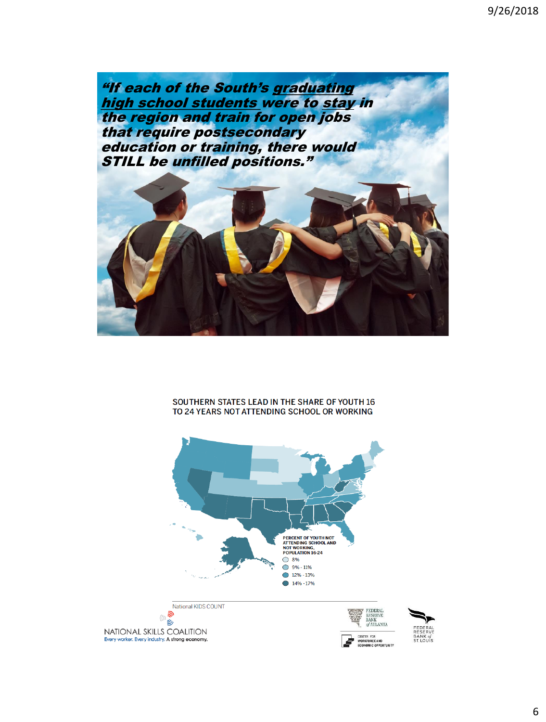

#### SOUTHERN STATES LEAD IN THE SHARE OF YOUTH 16 TO 24 YEARS NOT ATTENDING SCHOOL OR WORKING







**O** FEDERAL

CENTER FOR<br>WORKFORCE AND

**RESERVE** 

**BANK**<br>of ATLANTA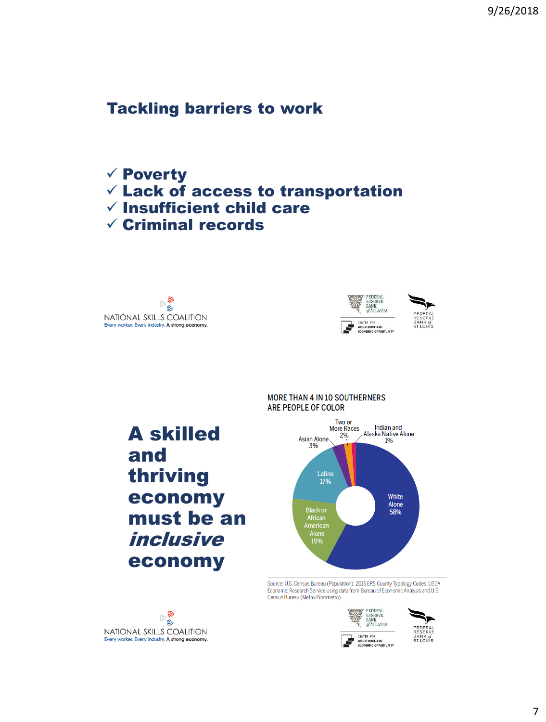### Tackling barriers to work

 Poverty  $\checkmark$  Lack of access to transportation  $\checkmark$  Insufficient child care  $\checkmark$  Criminal records









A skilled and thriving economy must be an inclusive economy

#### **MORE THAN 4 IN 10 SOUTHERNERS ARE PEOPLE OF COLOR**



Source: U.S. Census Bureau (Population); 2015 ERS County Typology Codes. USDA Economic Research Service using data from Bureau of Economic Analysis and U.S. Census Bureau (Metro/Nonmetro).



**EDERAL RESERVE BANK**<br>*of* ATLANTA CENTER FOR WORKFORCE AND<br>Economic Oppor

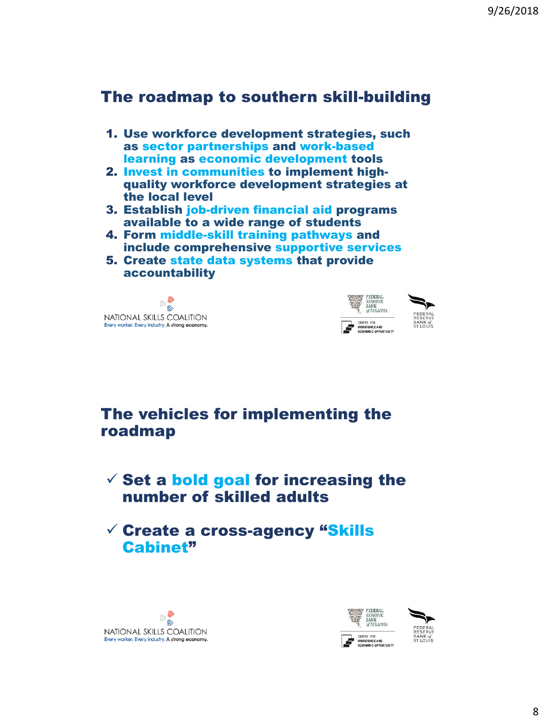### The roadmap to southern skill-building

- 1. Use workforce development strategies, such as sector partnerships and work-based learning as economic development tools
- 2. Invest in communities to implement highquality workforce development strategies at the local level
- 3. Establish job-driven financial aid programs available to a wide range of students
- 4. Form middle-skill training pathways and include comprehensive supportive services
- 5. Create state data systems that provide accountability

ه<br>پڻ NATIONAL SKILLS COALITION Every worker. Every industry. A strong economy.



### The vehicles for implementing the roadmap

 $\checkmark$  Set a bold goal for increasing the number of skilled adults

#### $\checkmark$  Create a cross-agency "Skills Cabinet"



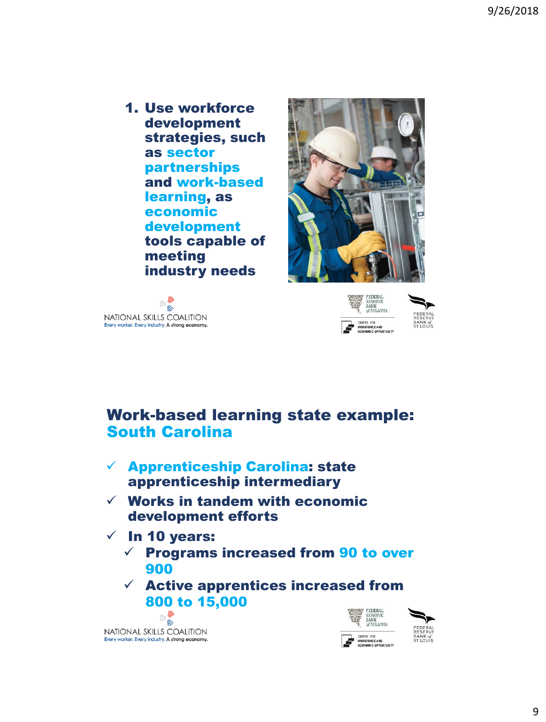1. Use workforce development strategies, such as sector partnerships and work-based learning, as economic development tools capable of meeting industry needs







#### Work-based learning state example: South Carolina

- $\checkmark$  Apprenticeship Carolina: state apprenticeship intermediary
- $\checkmark$  Works in tandem with economic development efforts

 $\checkmark$  In 10 years:

- $\checkmark$  Programs increased from 90 to over 900
- $\checkmark$  Active apprentices increased from 800 to 15,000

(((( う) NATIONAL SKILLS COALITION Every worker. Every industry. A strong economy.

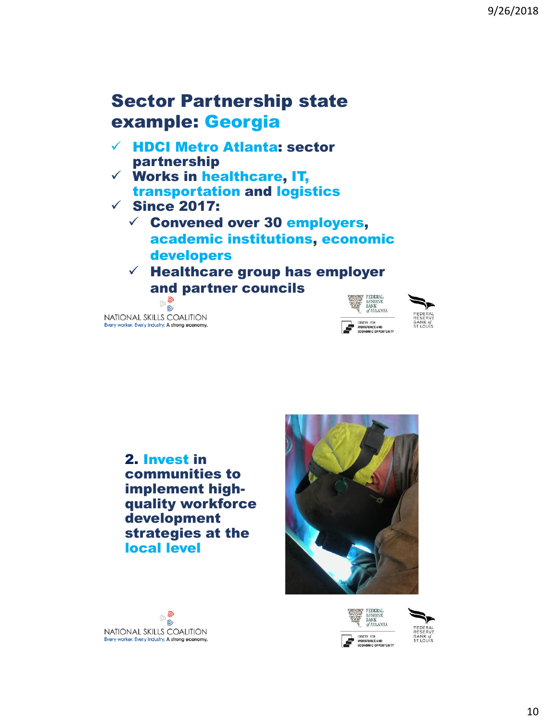### Sector Partnership state example: Georgia

- $\checkmark$  HDCI Metro Atlanta: sector partnership
- $\checkmark$  Works in healthcare, IT, transportation and logistics
- $\checkmark$  Since 2017:
	- $\checkmark$  Convened over 30 employers, academic institutions, economic developers
	- $\checkmark$  Healthcare group has employer and partner councils

هې)<br>ده کې NATIONAL SKILLS COALITION Every worker. Every industry. A strong economy.











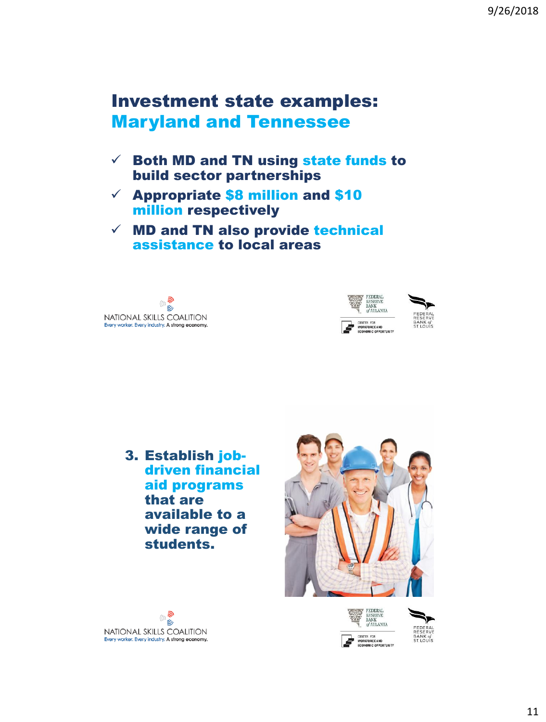### Investment state examples: Maryland and Tennessee

- $\checkmark$  Both MD and TN using state funds to build sector partnerships
- $\checkmark$  Appropriate \$8 million and \$10 million respectively
- $\checkmark$  MD and TN also provide technical assistance to local areas

ه<br>پڻ NATIONAL SKILLS COALITION Every worker. Every industry. A strong economy.





3. Establish jobdriven financial aid programs that are available to a wide range of students.







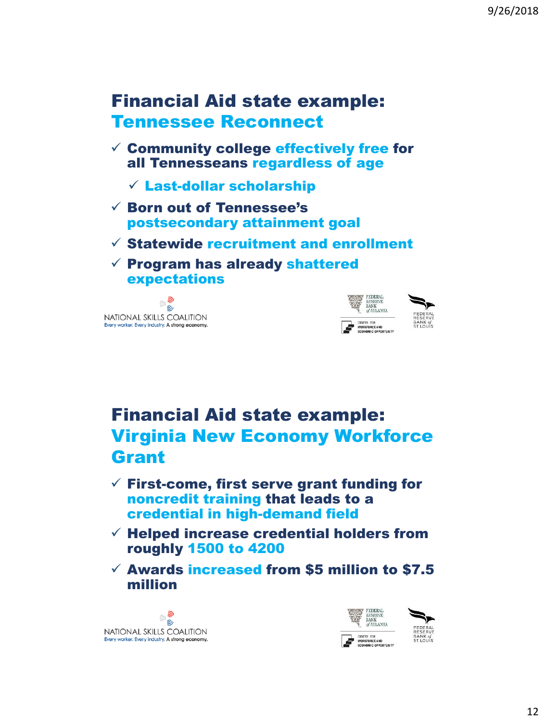## Financial Aid state example: Tennessee Reconnect

- $\checkmark$  Community college effectively free for all Tennesseans regardless of age
	- $\checkmark$  Last-dollar scholarship
- $\checkmark$  Born out of Tennessee's postsecondary attainment goal
- $\checkmark$  Statewide recruitment and enrollment
- $\checkmark$  Program has already shattered expectations

ه<br>الاي NATIONAL SKILLS COALITION Every worker. Every industry. A strong economy.



## Financial Aid state example: Virginia New Economy Workforce Grant

- $\checkmark$  First-come, first serve grant funding for noncredit training that leads to a credential in high-demand field
- $\checkmark$  Helped increase credential holders from roughly 1500 to 4200
- $\checkmark$  Awards increased from \$5 million to \$7.5 million

 $\overset{\text{\tiny (ii)}\mathfrak{D}}{\mathbb{S}}$ NATIONAL SKILLS COALITION Every worker. Every industry. A strong economy.

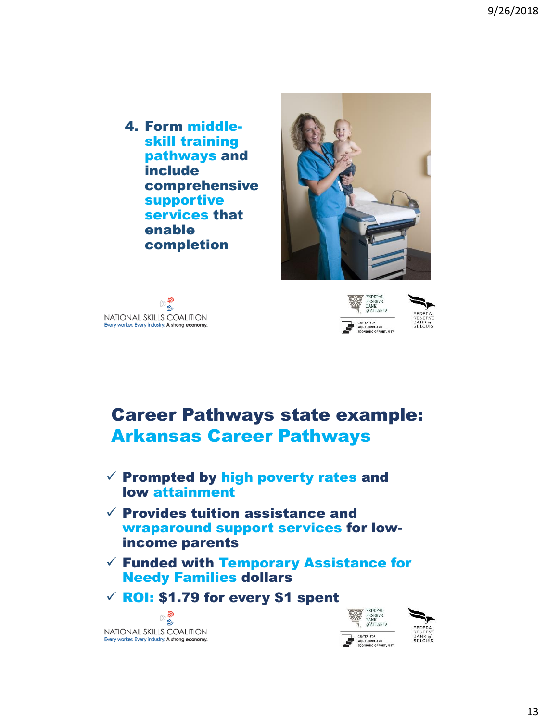4. Form middleskill training pathways and include comprehensive supportive services that enable completion







### Career Pathways state example: Arkansas Career Pathways

- $\checkmark$  Prompted by high poverty rates and low attainment
- $\checkmark$  Provides tuition assistance and wraparound support services for lowincome parents
- $\checkmark$  Funded with Temporary Assistance for Needy Families dollars
- $\sqrt{RQ}$ : \$1.79 for every \$1 spent

 $\widehat{\mathbb{E}}_2$ NATIONAL SKILLS COALITION Every worker. Every industry. A strong economy.

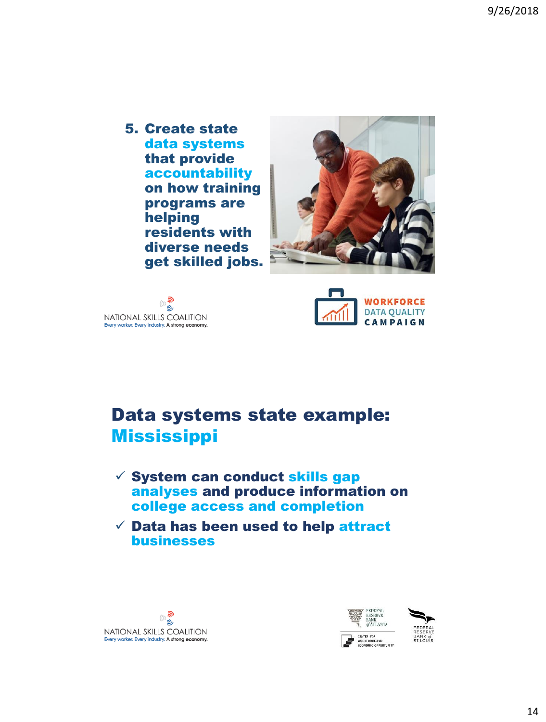5. Create state data systems that provide accountability on how training programs are helping residents with diverse needs get skilled jobs.







## Data systems state example: **Mississippi**

- $\checkmark$  System can conduct skills gap analyses and produce information on college access and completion
- $\checkmark$  Data has been used to help attract businesses



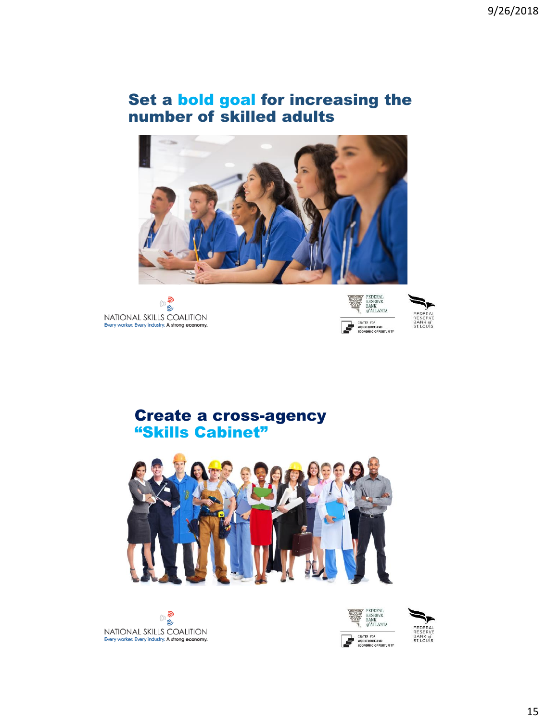#### Set a bold goal for increasing the number of skilled adults



 $\widehat{\mathbb{G}}_{\text{out}}^{\text{(i)}}$ NATIONAL SKILLS COALITION Every worker. Every industry. A strong economy.





Create a cross-agency "Skills Cabinet"